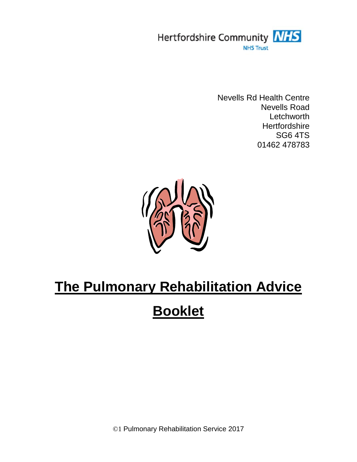

Nevells Rd Health Centre Nevells Road **Letchworth Hertfordshire** SG6 4TS 01462 478783



# **The Pulmonary Rehabilitation Advice**

## **Booklet**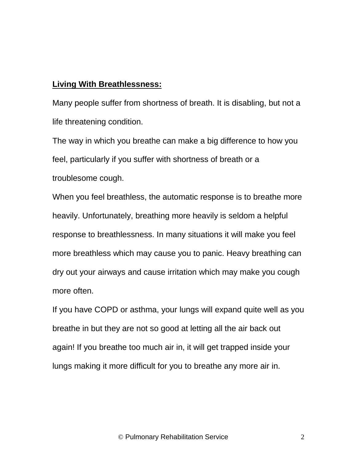#### **Living With Breathlessness:**

Many people suffer from shortness of breath. It is disabling, but not a life threatening condition.

The way in which you breathe can make a big difference to how you feel, particularly if you suffer with shortness of breath or a troublesome cough.

When you feel breathless, the automatic response is to breathe more heavily. Unfortunately, breathing more heavily is seldom a helpful response to breathlessness. In many situations it will make you feel more breathless which may cause you to panic. Heavy breathing can dry out your airways and cause irritation which may make you cough more often.

If you have COPD or asthma, your lungs will expand quite well as you breathe in but they are not so good at letting all the air back out again! If you breathe too much air in, it will get trapped inside your lungs making it more difficult for you to breathe any more air in.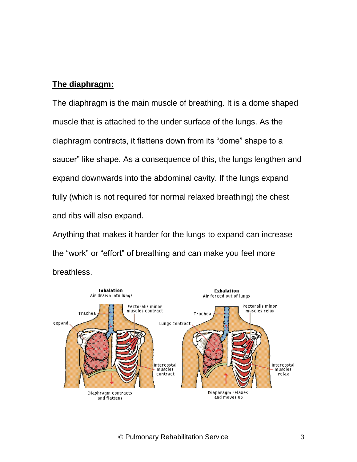#### **The diaphragm:**

The diaphragm is the main muscle of breathing. It is a dome shaped muscle that is attached to the under surface of the lungs. As the diaphragm contracts, it flattens down from its "dome" shape to a saucer" like shape. As a consequence of this, the lungs lengthen and expand downwards into the abdominal cavity. If the lungs expand fully (which is not required for normal relaxed breathing) the chest and ribs will also expand.

Anything that makes it harder for the lungs to expand can increase the "work" or "effort" of breathing and can make you feel more breathless.

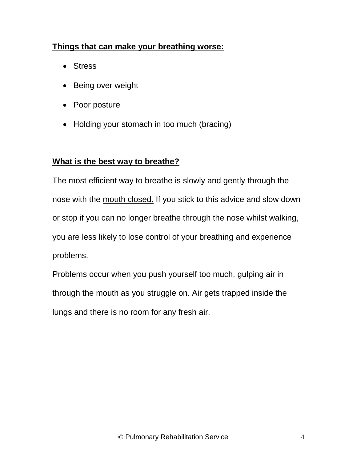#### **Things that can make your breathing worse:**

- Stress
- Being over weight
- Poor posture
- Holding your stomach in too much (bracing)

#### **What is the best way to breathe?**

The most efficient way to breathe is slowly and gently through the nose with the mouth closed. If you stick to this advice and slow down or stop if you can no longer breathe through the nose whilst walking, you are less likely to lose control of your breathing and experience problems.

Problems occur when you push yourself too much, gulping air in through the mouth as you struggle on. Air gets trapped inside the lungs and there is no room for any fresh air.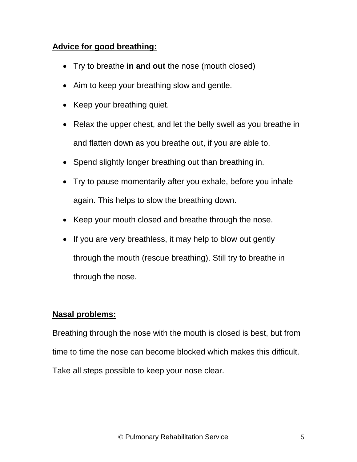#### **Advice for good breathing:**

- Try to breathe **in and out** the nose (mouth closed)
- Aim to keep your breathing slow and gentle.
- Keep your breathing quiet.
- Relax the upper chest, and let the belly swell as you breathe in and flatten down as you breathe out, if you are able to.
- Spend slightly longer breathing out than breathing in.
- Try to pause momentarily after you exhale, before you inhale again. This helps to slow the breathing down.
- Keep your mouth closed and breathe through the nose.
- If you are very breathless, it may help to blow out gently through the mouth (rescue breathing). Still try to breathe in through the nose.

#### **Nasal problems:**

Breathing through the nose with the mouth is closed is best, but from time to time the nose can become blocked which makes this difficult. Take all steps possible to keep your nose clear.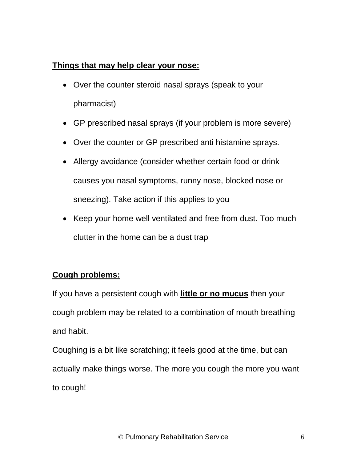#### **Things that may help clear your nose:**

- Over the counter steroid nasal sprays (speak to your pharmacist)
- GP prescribed nasal sprays (if your problem is more severe)
- Over the counter or GP prescribed anti histamine sprays.
- Allergy avoidance (consider whether certain food or drink causes you nasal symptoms, runny nose, blocked nose or sneezing). Take action if this applies to you
- Keep your home well ventilated and free from dust. Too much clutter in the home can be a dust trap

#### **Cough problems:**

If you have a persistent cough with **little or no mucus** then your cough problem may be related to a combination of mouth breathing and habit.

Coughing is a bit like scratching; it feels good at the time, but can actually make things worse. The more you cough the more you want to cough!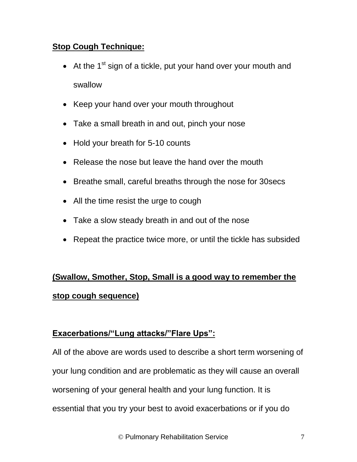#### **Stop Cough Technique:**

- $\bullet$  At the 1<sup>st</sup> sign of a tickle, put your hand over your mouth and swallow
- Keep your hand over your mouth throughout
- Take a small breath in and out, pinch your nose
- Hold your breath for 5-10 counts
- Release the nose but leave the hand over the mouth
- Breathe small, careful breaths through the nose for 30 secs
- All the time resist the urge to cough
- Take a slow steady breath in and out of the nose
- Repeat the practice twice more, or until the tickle has subsided

### **(Swallow, Smother, Stop, Small is a good way to remember the stop cough sequence)**

#### **Exacerbations/"Lung attacks/"Flare Ups":**

All of the above are words used to describe a short term worsening of your lung condition and are problematic as they will cause an overall worsening of your general health and your lung function. It is essential that you try your best to avoid exacerbations or if you do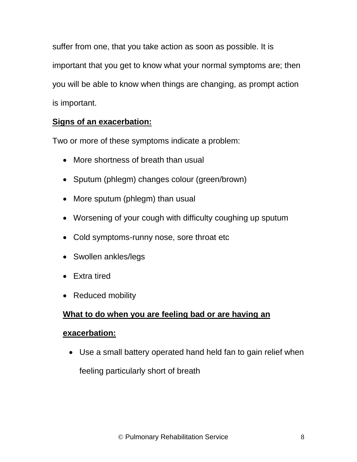suffer from one, that you take action as soon as possible. It is important that you get to know what your normal symptoms are; then you will be able to know when things are changing, as prompt action is important.

#### **Signs of an exacerbation:**

Two or more of these symptoms indicate a problem:

- More shortness of breath than usual
- Sputum (phlegm) changes colour (green/brown)
- More sputum (phlegm) than usual
- Worsening of your cough with difficulty coughing up sputum
- Cold symptoms-runny nose, sore throat etc
- Swollen ankles/legs
- Extra tired
- Reduced mobility

#### **What to do when you are feeling bad or are having an**

#### **exacerbation:**

 Use a small battery operated hand held fan to gain relief when feeling particularly short of breath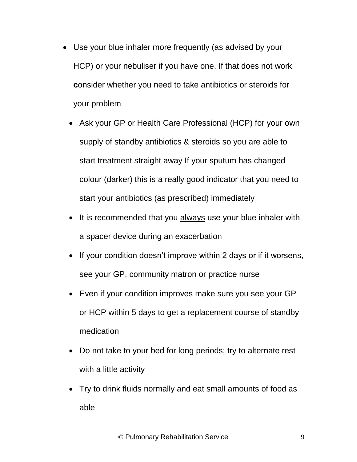- Use your blue inhaler more frequently (as advised by your HCP) or your nebuliser if you have one. If that does not work **c**onsider whether you need to take antibiotics or steroids for your problem
	- Ask your GP or Health Care Professional (HCP) for your own supply of standby antibiotics & steroids so you are able to start treatment straight away If your sputum has changed colour (darker) this is a really good indicator that you need to start your antibiotics (as prescribed) immediately
	- It is recommended that you always use your blue inhaler with a spacer device during an exacerbation
	- If your condition doesn't improve within 2 days or if it worsens, see your GP, community matron or practice nurse
	- Even if your condition improves make sure you see your GP or HCP within 5 days to get a replacement course of standby medication
	- Do not take to your bed for long periods; try to alternate rest with a little activity
	- Try to drink fluids normally and eat small amounts of food as able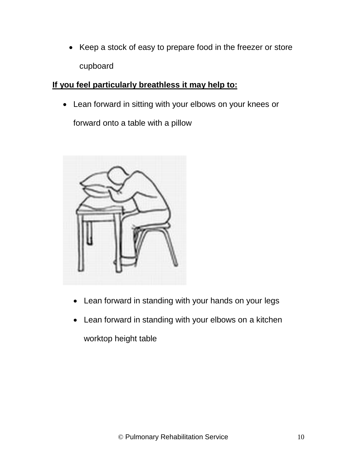• Keep a stock of easy to prepare food in the freezer or store cupboard

#### **If you feel particularly breathless it may help to:**

Lean forward in sitting with your elbows on your knees or

forward onto a table with a pillow



- Lean forward in standing with your hands on your legs
- Lean forward in standing with your elbows on a kitchen worktop height table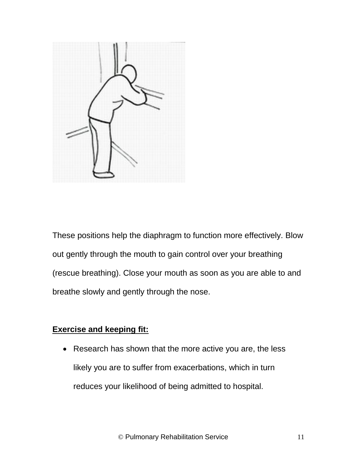

These positions help the diaphragm to function more effectively. Blow out gently through the mouth to gain control over your breathing (rescue breathing). Close your mouth as soon as you are able to and breathe slowly and gently through the nose.

#### **Exercise and keeping fit:**

• Research has shown that the more active you are, the less likely you are to suffer from exacerbations, which in turn reduces your likelihood of being admitted to hospital.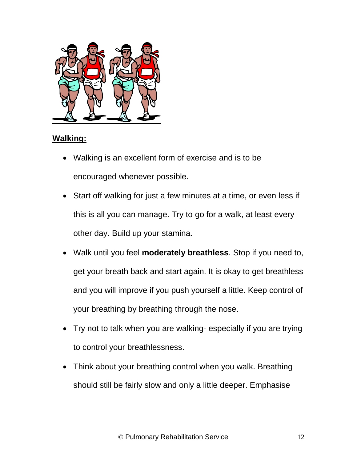

#### **Walking:**

- Walking is an excellent form of exercise and is to be encouraged whenever possible.
- Start off walking for just a few minutes at a time, or even less if this is all you can manage. Try to go for a walk, at least every other day. Build up your stamina.
- Walk until you feel **moderately breathless**. Stop if you need to, get your breath back and start again. It is okay to get breathless and you will improve if you push yourself a little. Keep control of your breathing by breathing through the nose.
- Try not to talk when you are walking- especially if you are trying to control your breathlessness.
- Think about your breathing control when you walk. Breathing should still be fairly slow and only a little deeper. Emphasise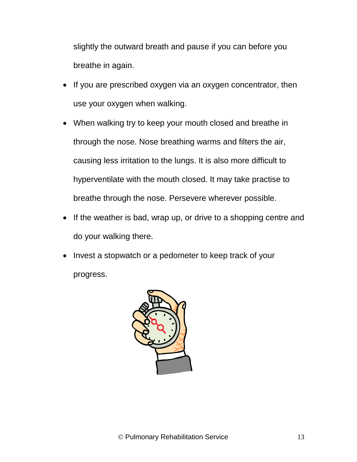slightly the outward breath and pause if you can before you breathe in again.

- If you are prescribed oxygen via an oxygen concentrator, then use your oxygen when walking.
- When walking try to keep your mouth closed and breathe in through the nose. Nose breathing warms and filters the air, causing less irritation to the lungs. It is also more difficult to hyperventilate with the mouth closed. It may take practise to breathe through the nose. Persevere wherever possible.
- If the weather is bad, wrap up, or drive to a shopping centre and do your walking there.
- Invest a stopwatch or a pedometer to keep track of your progress.

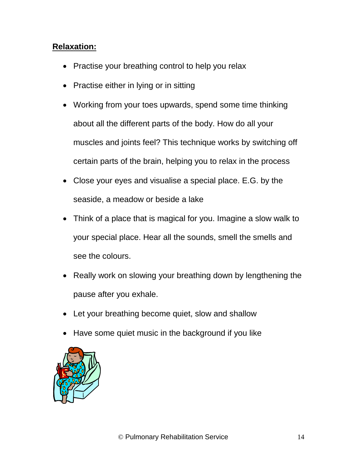#### **Relaxation:**

- Practise your breathing control to help you relax
- Practise either in lying or in sitting
- Working from your toes upwards, spend some time thinking about all the different parts of the body. How do all your muscles and joints feel? This technique works by switching off certain parts of the brain, helping you to relax in the process
- Close your eyes and visualise a special place. E.G. by the seaside, a meadow or beside a lake
- Think of a place that is magical for you. Imagine a slow walk to your special place. Hear all the sounds, smell the smells and see the colours.
- Really work on slowing your breathing down by lengthening the pause after you exhale.
- Let your breathing become quiet, slow and shallow
- Have some quiet music in the background if you like

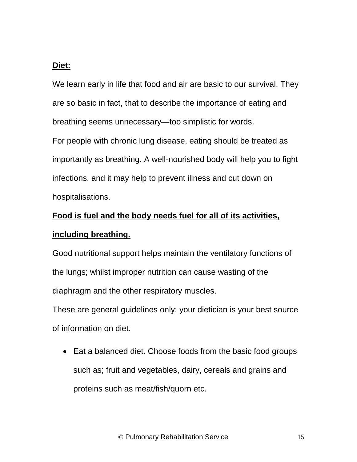#### **Diet:**

We learn early in life that food and air are basic to our survival. They are so basic in fact, that to describe the importance of eating and breathing seems unnecessary—too simplistic for words. For people with chronic lung disease, eating should be treated as importantly as breathing. A well-nourished body will help you to fight infections, and it may help to prevent illness and cut down on hospitalisations.

### **Food is fuel and the body needs fuel for all of its activities, including breathing.**

Good nutritional support helps maintain the ventilatory functions of the lungs; whilst improper nutrition can cause wasting of the diaphragm and the other respiratory muscles.

These are general guidelines only: your dietician is your best source of information on diet.

• Eat a balanced diet. Choose foods from the basic food groups such as; fruit and vegetables, dairy, cereals and grains and proteins such as meat/fish/quorn etc.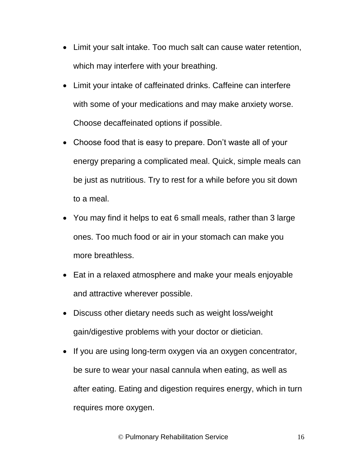- Limit your salt intake. Too much salt can cause water retention, which may interfere with your breathing.
- Limit your intake of caffeinated drinks. Caffeine can interfere with some of your medications and may make anxiety worse. Choose decaffeinated options if possible.
- Choose food that is easy to prepare. Don't waste all of your energy preparing a complicated meal. Quick, simple meals can be just as nutritious. Try to rest for a while before you sit down to a meal.
- You may find it helps to eat 6 small meals, rather than 3 large ones. Too much food or air in your stomach can make you more breathless.
- Eat in a relaxed atmosphere and make your meals enjoyable and attractive wherever possible.
- Discuss other dietary needs such as weight loss/weight gain/digestive problems with your doctor or dietician.
- If you are using long-term oxygen via an oxygen concentrator, be sure to wear your nasal cannula when eating, as well as after eating. Eating and digestion requires energy, which in turn requires more oxygen.